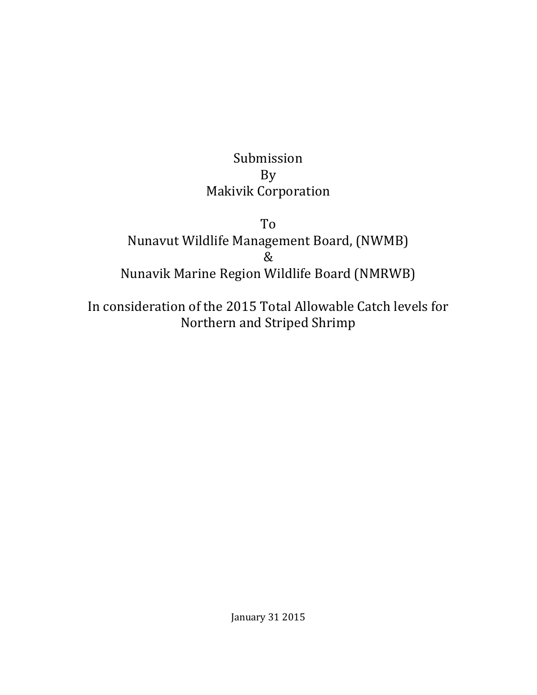# Submission By Makivik Corporation

To Nunavut Wildlife Management Board, (NWMB) & Nunavik Marine Region Wildlife Board (NMRWB)

In consideration of the 2015 Total Allowable Catch levels for Northern and Striped Shrimp

January 31 2015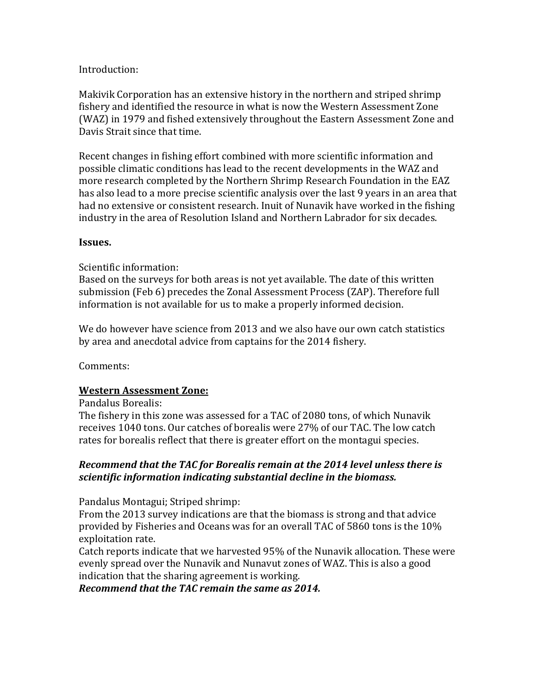### Introduction:

Makivik Corporation has an extensive history in the northern and striped shrimp fishery and identified the resource in what is now the Western Assessment Zone (WAZ) in 1979 and fished extensively throughout the Eastern Assessment Zone and Davis Strait since that time.

Recent changes in fishing effort combined with more scientific information and possible climatic conditions has lead to the recent developments in the WAZ and more research completed by the Northern Shrimp Research Foundation in the EAZ has also lead to a more precise scientific analysis over the last 9 years in an area that had no extensive or consistent research. Inuit of Nunavik have worked in the fishing industry in the area of Resolution Island and Northern Labrador for six decades.

### **Issues.**

### Scientific information:

Based on the surveys for both areas is not yet available. The date of this written submission (Feb 6) precedes the Zonal Assessment Process (ZAP). Therefore full information is not available for us to make a properly informed decision.

We do however have science from 2013 and we also have our own catch statistics by area and anecdotal advice from captains for the 2014 fishery.

Comments:

### **Western Assessment Zone:**

Pandalus Borealis:

The fishery in this zone was assessed for a TAC of 2080 tons, of which Nunavik receives 1040 tons. Our catches of borealis were 27% of our TAC. The low catch rates for borealis reflect that there is greater effort on the montagui species.

### *Recommend that the TAC for Borealis remain at the 2014 level unless there is scientific information indicating substantial decline in the biomass.*

Pandalus Montagui; Striped shrimp:

From the 2013 survey indications are that the biomass is strong and that advice provided by Fisheries and Oceans was for an overall TAC of 5860 tons is the 10% exploitation rate.

Catch reports indicate that we harvested 95% of the Nunavik allocation. These were evenly spread over the Nunavik and Nunavut zones of WAZ. This is also a good indication that the sharing agreement is working.

*Recommend that the TAC remain the same as 2014.*